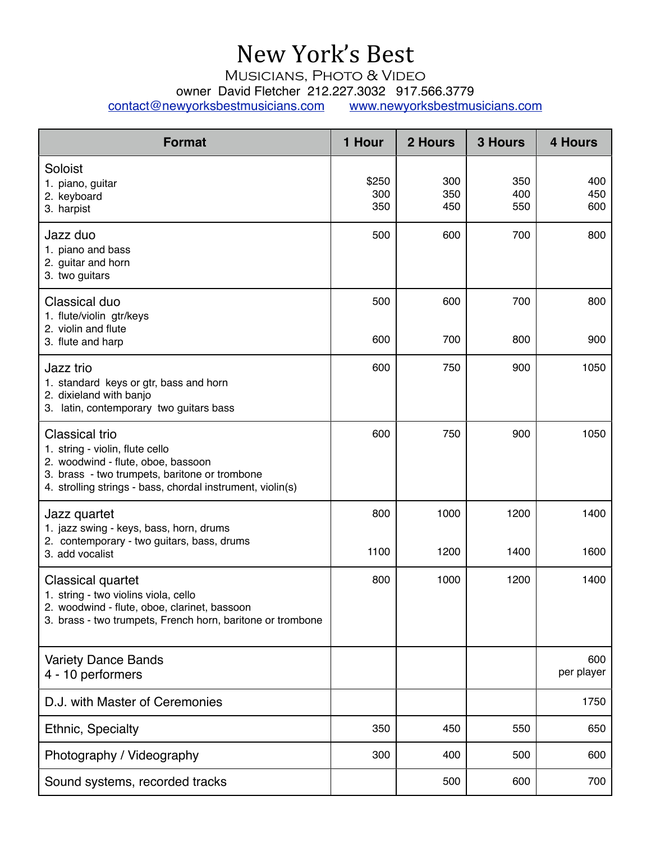## New York's Best

Musicians, Photo & Video

owner David Fletcher 212.227.3032 917.566.3779

[contact@newyorksbestmusicians.com](mailto:contact@newyorksbestmusicians.com) [www.newyorksbestmusicians.com](http://www.newyorksbestmusicians.com)

| <b>Format</b>                                                                                                                                                                                                 | 1 Hour              | 2 Hours           | <b>3 Hours</b>    | <b>4 Hours</b>    |
|---------------------------------------------------------------------------------------------------------------------------------------------------------------------------------------------------------------|---------------------|-------------------|-------------------|-------------------|
| Soloist<br>1. piano, guitar<br>2. keyboard<br>3. harpist                                                                                                                                                      | \$250<br>300<br>350 | 300<br>350<br>450 | 350<br>400<br>550 | 400<br>450<br>600 |
| Jazz duo<br>1. piano and bass<br>2. guitar and horn<br>3. two guitars                                                                                                                                         | 500                 | 600               | 700               | 800               |
| Classical duo<br>1. flute/violin gtr/keys<br>2. violin and flute<br>3. flute and harp                                                                                                                         | 500<br>600          | 600<br>700        | 700<br>800        | 800<br>900        |
| Jazz trio<br>1. standard keys or gtr, bass and horn<br>2. dixieland with banjo<br>3. latin, contemporary two guitars bass                                                                                     | 600                 | 750               | 900               | 1050              |
| <b>Classical trio</b><br>1. string - violin, flute cello<br>2. woodwind - flute, oboe, bassoon<br>3. brass - two trumpets, baritone or trombone<br>4. strolling strings - bass, chordal instrument, violin(s) | 600                 | 750               | 900               | 1050              |
| Jazz quartet<br>1. jazz swing - keys, bass, horn, drums<br>2. contemporary - two guitars, bass, drums<br>3. add vocalist                                                                                      | 800<br>1100         | 1000<br>1200      | 1200<br>1400      | 1400<br>1600      |
| <b>Classical quartet</b><br>1. string - two violins viola, cello<br>2. woodwind - flute, oboe, clarinet, bassoon<br>3. brass - two trumpets, French horn, baritone or trombone                                | 800                 | 1000              | 1200              | 1400              |
| <b>Variety Dance Bands</b><br>4 - 10 performers                                                                                                                                                               |                     |                   |                   | 600<br>per player |
| D.J. with Master of Ceremonies                                                                                                                                                                                |                     |                   |                   | 1750              |
| Ethnic, Specialty                                                                                                                                                                                             | 350                 | 450               | 550               | 650               |
| Photography / Videography                                                                                                                                                                                     | 300                 | 400               | 500               | 600               |
| Sound systems, recorded tracks                                                                                                                                                                                |                     | 500               | 600               | 700               |